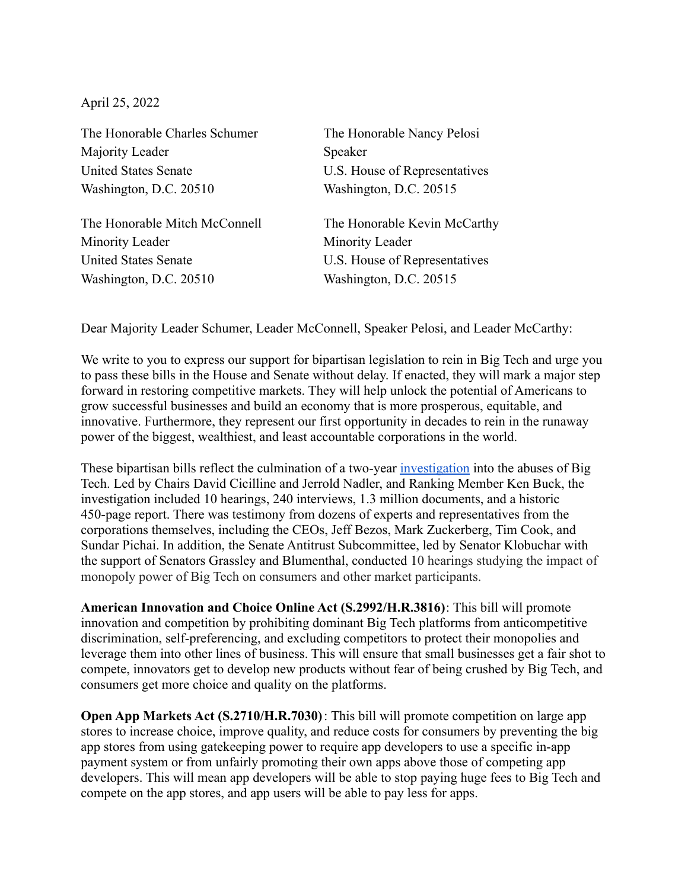April 25, 2022

The Honorable Charles Schumer The Honorable Nancy Pelosi Majority Leader Speaker United States Senate U.S. House of Representatives Washington, D.C. 20510 Washington, D.C. 20515 The Honorable Mitch McConnell The Honorable Kevin McCarthy Minority Leader Minority Leader United States Senate U.S. House of Representatives Washington, D.C. 20510 Washington, D.C. 20515

Dear Majority Leader Schumer, Leader McConnell, Speaker Pelosi, and Leader McCarthy:

We write to you to express our support for bipartisan legislation to rein in Big Tech and urge you to pass these bills in the House and Senate without delay. If enacted, they will mark a major step forward in restoring competitive markets. They will help unlock the potential of Americans to grow successful businesses and build an economy that is more prosperous, equitable, and innovative. Furthermore, they represent our first opportunity in decades to rein in the runaway power of the biggest, wealthiest, and least accountable corporations in the world.

These bipartisan bills reflect the culmination of a two-year [investigation](https://judiciary.house.gov/news/documentsingle.aspx?DocumentID=3429) into the abuses of Big Tech. Led by Chairs David Cicilline and Jerrold Nadler, and Ranking Member Ken Buck, the investigation included 10 hearings, 240 interviews, 1.3 million documents, and a historic 450-page report. There was testimony from dozens of experts and representatives from the corporations themselves, including the CEOs, Jeff Bezos, Mark Zuckerberg, Tim Cook, and Sundar Pichai. In addition, the Senate Antitrust Subcommittee, led by Senator Klobuchar with the support of Senators Grassley and Blumenthal, conducted 10 hearings studying the impact of monopoly power of Big Tech on consumers and other market participants.

**American Innovation and Choice Online Act (S.2992/H.R.3816)**: This bill will promote innovation and competition by prohibiting dominant Big Tech platforms from anticompetitive discrimination, self-preferencing, and excluding competitors to protect their monopolies and leverage them into other lines of business. This will ensure that small businesses get a fair shot to compete, innovators get to develop new products without fear of being crushed by Big Tech, and consumers get more choice and quality on the platforms.

**Open App Markets Act (S.2710/H.R.7030)**: This bill will promote competition on large app stores to increase choice, improve quality, and reduce costs for consumers by preventing the big app stores from using gatekeeping power to require app developers to use a specific in-app payment system or from unfairly promoting their own apps above those of competing app developers. This will mean app developers will be able to stop paying huge fees to Big Tech and compete on the app stores, and app users will be able to pay less for apps.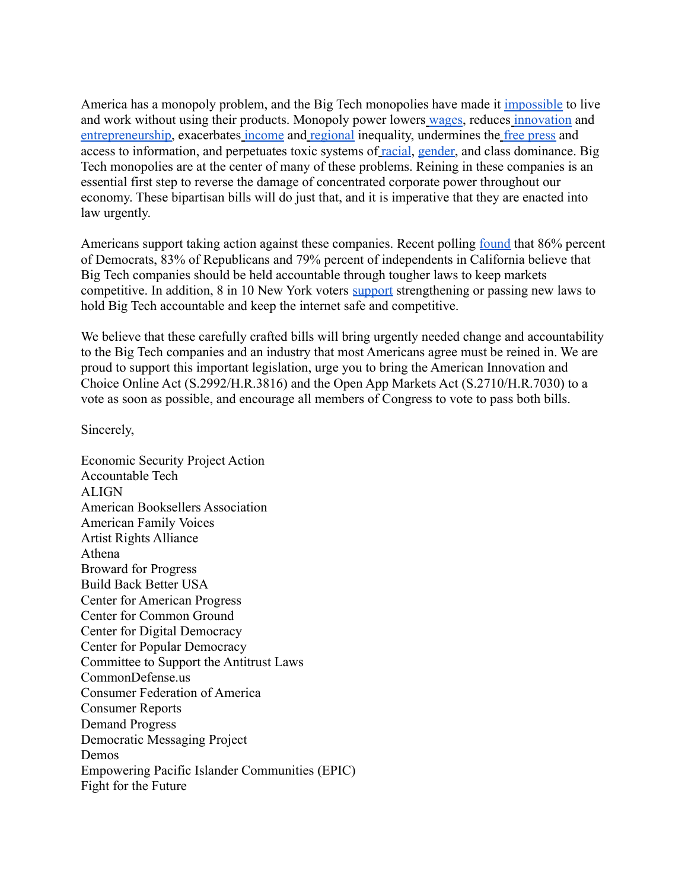America has a monopoly problem, and the Big Tech monopolies have made it [impossible](https://www.nytimes.com/2020/07/31/technology/blocking-the-tech-giants.html) to live and work without using their products. Monopoly power lowers [wages,](https://www.vox.com/the-big-idea/2018/4/6/17204808/wages-employers-workers-monopsony-growth-stagnation-inequality) reduces [innovation](https://www.brinknews.com/is-antitrust-enforcement-the-wests-best-weapon-against-chinese-tech/) an[d](https://ilsr.org/wp-content/uploads/downloads/2016/08/MonopolyPower-SmallBusiness.pdf) [entrepreneurship,](https://ilsr.org/wp-content/uploads/downloads/2016/08/MonopolyPower-SmallBusiness.pdf) exacerbates [income](https://promarket.org/2020/08/14/monopolies-silent-spreaders-of-poverty-and-economic-inequality/) and [regional](https://academic.oup.com/cjres/article/14/1/25/6056183) inequality, undermines the [free press](https://promarket.org/2019/06/14/the-decline-of-american-journalism-is-an-antitrust-problem/) and access to information, and perpetuates toxic systems of [racial](https://www.theroot.com/corporate-monopolies-are-a-racial-justice-issue-we-nee-1846155644), [gender,](https://www.forbes.com/sites/washingtonbytes/2017/12/20/how-monopolies-make-gender-inequality-worse-and-concentrated-economic-power-harms-women/?sh=42afad4f1b11) and class dominance. Big Tech monopolies are at the center of many of these problems. Reining in these companies is an essential first step to reverse the damage of concentrated corporate power throughout our economy. These bipartisan bills will do just that, and it is imperative that they are enacted into law urgently.

Americans support taking action against these companies. Recent polling <u>[found](https://techoversight.org/files/DFP-CA-Poll.pdf)</u> that 86% percent of Democrats, 83% of Republicans and 79% percent of independents in California believe that Big Tech companies should be held accountable through tougher laws to keep markets competitive. In addition, 8 in 10 New York voters [support](https://techoversight.org/files/NY-Poll.pdf) strengthening or passing new laws to hold Big Tech accountable and keep the internet safe and competitive.

We believe that these carefully crafted bills will bring urgently needed change and accountability to the Big Tech companies and an industry that most Americans agree must be reined in. We are proud to support this important legislation, urge you to bring the American Innovation and Choice Online Act (S.2992/H.R.3816) and the Open App Markets Act (S.2710/H.R.7030) to a vote as soon as possible, and encourage all members of Congress to vote to pass both bills.

Sincerely,

Economic Security Project Action Accountable Tech **ALIGN** American Booksellers Association American Family Voices Artist Rights Alliance Athena Broward for Progress Build Back Better USA Center for American Progress Center for Common Ground Center for Digital Democracy Center for Popular Democracy Committee to Support the Antitrust Laws CommonDefense.us Consumer Federation of America Consumer Reports Demand Progress Democratic Messaging Project Demos Empowering Pacific Islander Communities (EPIC) Fight for the Future